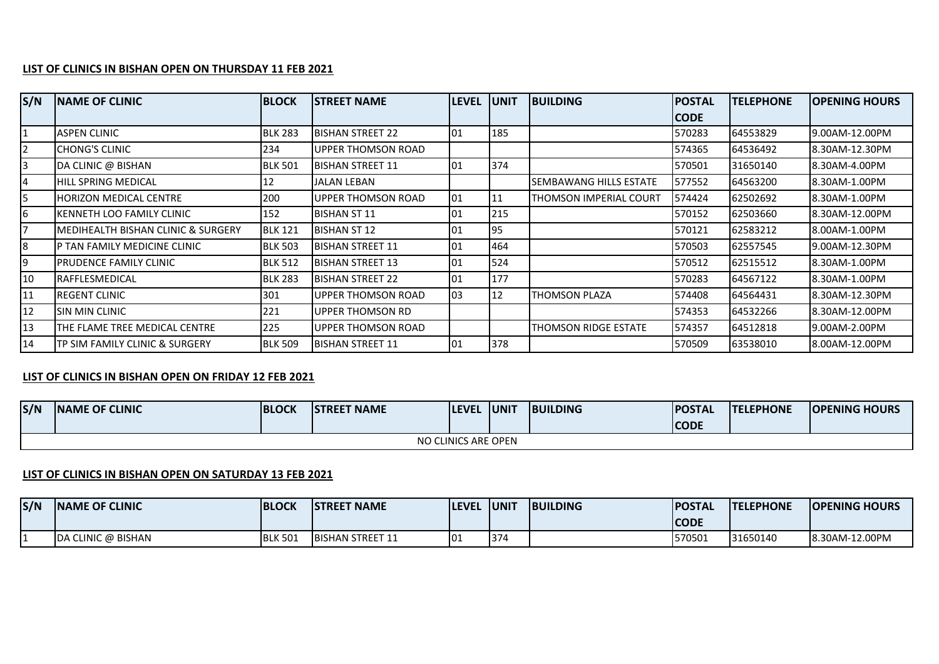## **LIST OF CLINICS IN BISHAN OPEN ON THURSDAY 11 FEB 2021**

| S/N            | <b>INAME OF CLINIC</b>              | <b>BLOCK</b>   | ISTREET NAME              | <b>LEVEL</b> | lunit | <b>BUILDING</b>        | <b>IPOSTAL</b> | <b>TELEPHONE</b> | <b>IOPENING HOURS</b> |
|----------------|-------------------------------------|----------------|---------------------------|--------------|-------|------------------------|----------------|------------------|-----------------------|
|                |                                     |                |                           |              |       |                        | CODE           |                  |                       |
| $\mathbf{1}$   | <b>ASPEN CLINIC</b>                 | <b>BLK 283</b> | BISHAN STREET 22          | 101          | 185   |                        | 570283         | 64553829         | 19.00AM-12.00PM       |
| $\overline{2}$ | <b>I</b> CHONG'S CLINIC             | 234            | <b>UPPER THOMSON ROAD</b> |              |       |                        | 574365         | 64536492         | 8.30AM-12.30PM        |
| 3              | DA CLINIC @ BISHAN                  | <b>BLK 501</b> | IBISHAN STREET 11         | 01           | 374   |                        | 570501         | 31650140         | 8.30AM-4.00PM         |
| 4              | <b>HILL SPRING MEDICAL</b>          | 12             | <b>JALAN LEBAN</b>        |              |       | SEMBAWANG HILLS ESTATE | 577552         | 64563200         | 8.30AM-1.00PM         |
| 5              | <b>IHORIZON MEDICAL CENTRE</b>      | 200            | <b>UPPER THOMSON ROAD</b> | 101          | 11    | THOMSON IMPERIAL COURT | 1574424        | 62502692         | 8.30AM-1.00PM         |
| 6              | IKENNETH LOO FAMILY CLINIC          | 152            | <b>BISHAN ST 11</b>       | 01           | 215   |                        | 570152         | 62503660         | 8.30AM-12.00PM        |
| 7              | IMEDIHEALTH BISHAN CLINIC & SURGERY | <b>BLK 121</b> | <b>BISHAN ST 12</b>       | 01           | 95    |                        | 570121         | 62583212         | 8.00AM-1.00PM         |
| 8              | IP TAN FAMILY MEDICINE CLINIC       | <b>BLK 503</b> | IBISHAN STREET 11         | 01           | 464   |                        | 570503         | 62557545         | 19.00AM-12.30PM       |
| 9              | <b>IPRUDENCE FAMILY CLINIC</b>      | <b>BLK 512</b> | <b>BISHAN STREET 13</b>   | 01           | 524   |                        | 570512         | 62515512         | 8.30AM-1.00PM         |
| 10             | <b>RAFFLESMEDICAL</b>               | <b>BLK 283</b> | BISHAN STREET 22          | 01           | 177   |                        | 570283         | 64567122         | 8.30AM-1.00PM         |
| 11             | IREGENT CLINIC                      | 301            | <b>UPPER THOMSON ROAD</b> | 03           | 12    | <b>THOMSON PLAZA</b>   | 574408         | 64564431         | 8.30AM-12.30PM        |
| 12             | <b>SIN MIN CLINIC</b>               | 221            | UPPER THOMSON RD          |              |       |                        | 574353         | 64532266         | 8.30AM-12.00PM        |
| 13             | THE FLAME TREE MEDICAL CENTRE       | 225            | UPPER THOMSON ROAD        |              |       | THOMSON RIDGE ESTATE   | 574357         | 64512818         | 19.00AM-2.00PM        |
| 14             | TP SIM FAMILY CLINIC & SURGERY      | <b>BLK 509</b> | <b>IBISHAN STREET 11</b>  | 01           | 378   |                        | 570509         | 63538010         | 8.00AM-12.00PM        |

## **LIST OF CLINICS IN BISHAN OPEN ON FRIDAY 12 FEB 2021**

| S/N                 | <b>INAME OF CLINIC</b> | <b>BLOCK</b> | <b>ISTREET NAME</b> | <b>ILEVEL</b> | <b>UNIT</b> | <b>BUILDING</b> | <b>POSTAL</b> | <b>ITELEPHONE</b> | <b>IOPENING HOURS</b> |  |
|---------------------|------------------------|--------------|---------------------|---------------|-------------|-----------------|---------------|-------------------|-----------------------|--|
|                     |                        |              |                     |               |             |                 | <b>CODE</b>   |                   |                       |  |
| NO CLINICS ARE OPEN |                        |              |                     |               |             |                 |               |                   |                       |  |

## **LIST OF CLINICS IN BISHAN OPEN ON SATURDAY 13 FEB 2021**

| S/N | <b>INAME OF CLINIC</b>     | <b>BLOCK</b>   | <b>ISTREET NAME</b>      | <b>LEVEL</b> | <b>JUNI</b> | <b>BUILDING</b> | <b>POSTAL</b> | <b>ITELEPHONE</b> | <b>IOPENING HOURS</b> |
|-----|----------------------------|----------------|--------------------------|--------------|-------------|-----------------|---------------|-------------------|-----------------------|
|     |                            |                |                          |              |             |                 | <b>CODE</b>   |                   |                       |
|     | <b>IDA CLINIC @ BISHAN</b> | <b>BLK 501</b> | <b>IBISHAN STREET 11</b> | 0۱:          | 374         |                 | 1570501       | 31650140          | 8.30AM-12.00PM        |